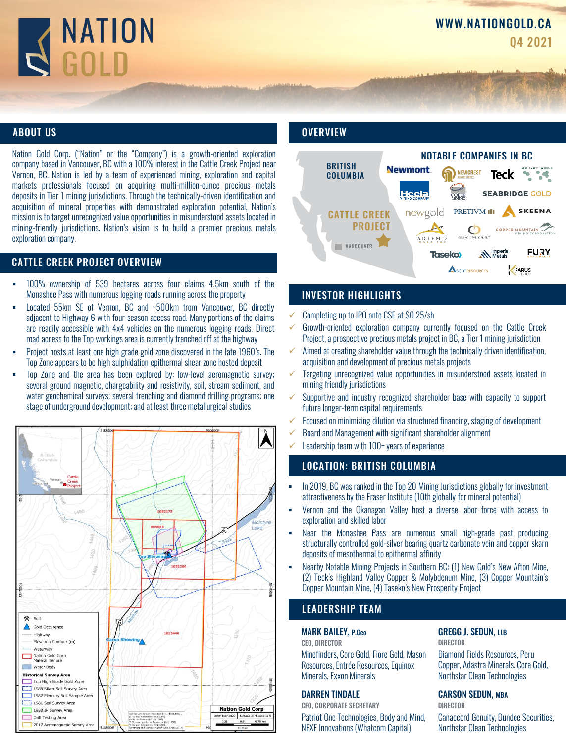# NATION

### ABOUT US

Nation Gold Corp. ("Nation" or the "Company") is a growth-oriented exploration company based in Vancouver, BC with a 100% interest in the Cattle Creek Project near Vernon, BC. Nation is led by a team of experienced mining, exploration and capital markets professionals focused on acquiring multi-million-ounce precious metals deposits in Tier 1 mining jurisdictions. Through the technically-driven identification and acquisition of mineral properties with demonstrated exploration potential, Nation's mission is to target unrecognized value opportunities in misunderstood assets located in mining-friendly jurisdictions. Nation's vision is to build a premier precious metals exploration company.

### CATTLE CREEK PROJECT OVERVIEW

- 100% ownership of 539 hectares across four claims 4.5km south of the Monashee Pass with numerous logging roads running across the property
- Located 55km SE of Vernon, BC and ~500km from Vancouver, BC directly adjacent to Highway 6 with four-season access road. Many portions of the claims are readily accessible with 4x4 vehicles on the numerous logging roads. Direct road access to the Top workings area is currently trenched off at the highway
- Project hosts at least one high grade gold zone discovered in the late 1960's. The Top Zone appears to be high sulphidation epithermal shear zone hosted deposit
- Top Zone and the area has been explored by: low-level aeromagnetic survey; several ground magnetic, chargeability and resistivity, soil, stream sediment, and water geochemical surveys; several trenching and diamond drilling programs; one stage of underground development;and at least three metallurgical studies



### **OVERVIEW**



### INVESTOR HIGHLIGHTS

- Completing up to IPO onto CSE at \$0.25/sh
- $\checkmark$  Growth-oriented exploration company currently focused on the Cattle Creek Project,a prospective precious metals project in BC, a Tier 1 mining jurisdiction
- $\checkmark$  Aimed at creating shareholder value through the technically driven identification, acquisition and development of precious metals projects
- Targeting unrecognized value opportunities in misunderstood assets located in mining friendly jurisdictions
- ✓ Supportive and industry recognized shareholder base with capacity to support future longer-term capital requirements
- ✓ Focused on minimizing dilution via structured financing, staging of development
- $\checkmark$  Board and Management with significant shareholder alignment
- Leadership team with 100+ years of experience

### LOCATION: BRITISH COLUMBIA

- **In 2019, BC was ranked in the Top 20 Mining Jurisdictions globally for investment** attractiveness by the Fraser Institute (10th globally for mineral potential)
- Vernon and the Okanagan Valley host a diverse labor force with access to exploration and skilled labor
- Near the Monashee Pass are numerous small high-grade past producing structurally controlled gold-silver bearing quartz carbonate vein and copper skarn deposits of mesothermal to epithermal affinity
- Nearby Notable Mining Projects in Southern BC: (1) New Gold's New Afton Mine, (2) Teck's Highland Valley Copper & Molybdenum Mine, (3) Copper Mountain's Copper Mountain Mine, (4) Taseko's New Prosperity Project

### LEADERSHIP TEAM

### MARK BAILEY, P.Geo

CEO, DIRECTOR Minefinders, Core Gold, Fiore Gold, Mason Resources, Entrée Resources, Equinox Minerals, Exxon Minerals

### DARREN TINDALE

CFO, CORPORATE SECRETARY Patriot One Technologies, Body and Mind, NEXE Innovations (Whatcom Capital)

### GREGG J. SEDUN, LLB DIRECTOR

Diamond Fields Resources, Peru Copper, Adastra Minerals, Core Gold, Northstar Clean Technologies

### CARSON SEDUN, MBA

DIRECTOR Canaccord Genuity, Dundee Securities, Northstar Clean Technologies